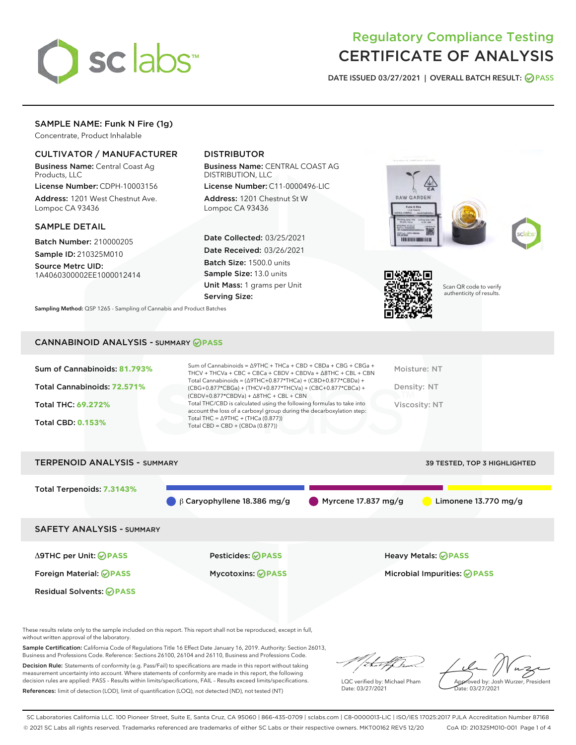

# Regulatory Compliance Testing CERTIFICATE OF ANALYSIS

DATE ISSUED 03/27/2021 | OVERALL BATCH RESULT: @ PASS

# SAMPLE NAME: Funk N Fire (1g)

Concentrate, Product Inhalable

## CULTIVATOR / MANUFACTURER

Business Name: Central Coast Ag Products, LLC

License Number: CDPH-10003156 Address: 1201 West Chestnut Ave. Lompoc CA 93436

## SAMPLE DETAIL

Batch Number: 210000205 Sample ID: 210325M010

Source Metrc UID: 1A4060300002EE1000012414

# DISTRIBUTOR

Business Name: CENTRAL COAST AG DISTRIBUTION, LLC

License Number: C11-0000496-LIC Address: 1201 Chestnut St W Lompoc CA 93436

Date Collected: 03/25/2021 Date Received: 03/26/2021 Batch Size: 1500.0 units Sample Size: 13.0 units Unit Mass: 1 grams per Unit Serving Size:







Scan QR code to verify authenticity of results.

Sampling Method: QSP 1265 - Sampling of Cannabis and Product Batches

## CANNABINOID ANALYSIS - SUMMARY **PASS**

| Sum of Cannabinoids: 81.793% | Sum of Cannabinoids = $\triangle$ 9THC + THCa + CBD + CBDa + CBG + CBGa +<br>THCV + THCVa + CBC + CBCa + CBDV + CBDVa + $\Delta$ 8THC + CBL + CBN                                    | Moisture: NT  |
|------------------------------|--------------------------------------------------------------------------------------------------------------------------------------------------------------------------------------|---------------|
| Total Cannabinoids: 72.571%  | Total Cannabinoids = $(\Delta$ 9THC+0.877*THCa) + (CBD+0.877*CBDa) +<br>(CBG+0.877*CBGa) + (THCV+0.877*THCVa) + (CBC+0.877*CBCa) +<br>$(CBDV+0.877*CBDVa) + \Delta 8THC + CBL + CBN$ | Density: NT   |
| Total THC: 69.272%           | Total THC/CBD is calculated using the following formulas to take into<br>account the loss of a carboxyl group during the decarboxylation step:                                       | Viscosity: NT |
| <b>Total CBD: 0.153%</b>     | Total THC = $\triangle$ 9THC + (THCa (0.877))<br>Total CBD = $CBD + (CBDa (0.877))$                                                                                                  |               |
|                              |                                                                                                                                                                                      |               |



These results relate only to the sample included on this report. This report shall not be reproduced, except in full, without written approval of the laboratory.

Sample Certification: California Code of Regulations Title 16 Effect Date January 16, 2019. Authority: Section 26013, Business and Professions Code. Reference: Sections 26100, 26104 and 26110, Business and Professions Code.

Decision Rule: Statements of conformity (e.g. Pass/Fail) to specifications are made in this report without taking measurement uncertainty into account. Where statements of conformity are made in this report, the following decision rules are applied: PASS – Results within limits/specifications, FAIL – Results exceed limits/specifications. References: limit of detection (LOD), limit of quantification (LOQ), not detected (ND), not tested (NT)

that for

LQC verified by: Michael Pham Date: 03/27/2021

Approved by: Josh Wurzer, President ate: 03/27/2021

SC Laboratories California LLC. 100 Pioneer Street, Suite E, Santa Cruz, CA 95060 | 866-435-0709 | sclabs.com | C8-0000013-LIC | ISO/IES 17025:2017 PJLA Accreditation Number 87168 © 2021 SC Labs all rights reserved. Trademarks referenced are trademarks of either SC Labs or their respective owners. MKT00162 REV5 12/20 CoA ID: 210325M010-001 Page 1 of 4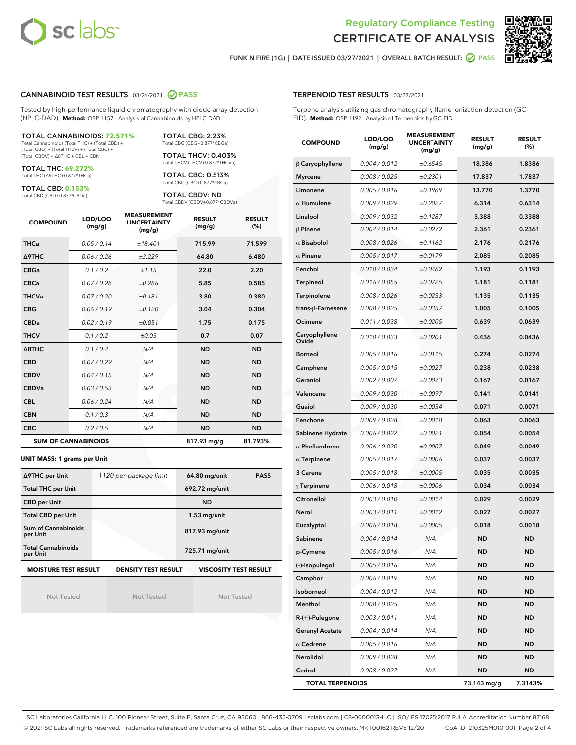



FUNK N FIRE (1G) | DATE ISSUED 03/27/2021 | OVERALL BATCH RESULT:  $\bigcirc$  PASS

## CANNABINOID TEST RESULTS - 03/26/2021 @ PASS

Tested by high-performance liquid chromatography with diode-array detection (HPLC-DAD). **Method:** QSP 1157 - Analysis of Cannabinoids by HPLC-DAD

TOTAL CANNABINOIDS: **72.571%** Total Cannabinoids (Total THC) + (Total CBD) +

(Total CBG) + (Total THCV) + (Total CBC) + (Total CBDV) + ∆8THC + CBL + CBN

TOTAL THC: **69.272%** Total THC (∆9THC+0.877\*THCa)

TOTAL CBD: **0.153%**

Total CBD (CBD+0.877\*CBDa)

TOTAL CBG: 2.23% Total CBG (CBG+0.877\*CBGa)

TOTAL THCV: 0.403% Total THCV (THCV+0.877\*THCVa)

TOTAL CBC: 0.513% Total CBC (CBC+0.877\*CBCa)

TOTAL CBDV: ND Total CBDV (CBDV+0.877\*CBDVa)

| <b>COMPOUND</b>  | LOD/LOQ<br>(mg/g)          | <b>MEASUREMENT</b><br><b>UNCERTAINTY</b><br>(mg/g) | <b>RESULT</b><br>(mg/g) | <b>RESULT</b><br>(%) |
|------------------|----------------------------|----------------------------------------------------|-------------------------|----------------------|
| <b>THCa</b>      | 0.05 / 0.14                | ±18.401                                            | 715.99                  | 71.599               |
| <b>A9THC</b>     | 0.06/0.26                  | ±2.229                                             | 64.80                   | 6.480                |
| <b>CBGa</b>      | 0.1 / 0.2                  | ± 1.15                                             | 22.0                    | 2.20                 |
| <b>CBCa</b>      | 0.07/0.28                  | ±0.286                                             | 5.85                    | 0.585                |
| <b>THCVa</b>     | 0.07/0.20                  | ±0.181                                             | 3.80                    | 0.380                |
| <b>CBG</b>       | 0.06/0.19                  | ±0.120                                             | 3.04                    | 0.304                |
| <b>CBDa</b>      | 0.02/0.19                  | ±0.051                                             | 1.75                    | 0.175                |
| <b>THCV</b>      | 0.1/0.2                    | ±0.03                                              | 0.7                     | 0.07                 |
| $\triangle$ 8THC | 0.1/0.4                    | N/A                                                | <b>ND</b>               | <b>ND</b>            |
| <b>CBD</b>       | 0.07/0.29                  | N/A                                                | <b>ND</b>               | <b>ND</b>            |
| <b>CBDV</b>      | 0.04 / 0.15                | N/A                                                | <b>ND</b>               | <b>ND</b>            |
| <b>CBDVa</b>     | 0.03/0.53                  | N/A                                                | <b>ND</b>               | <b>ND</b>            |
| <b>CBL</b>       | 0.06 / 0.24                | N/A                                                | <b>ND</b>               | <b>ND</b>            |
| <b>CBN</b>       | 0.1/0.3                    | N/A                                                | <b>ND</b>               | <b>ND</b>            |
| <b>CBC</b>       | 0.2 / 0.5                  | N/A                                                | <b>ND</b>               | <b>ND</b>            |
|                  | <b>SUM OF CANNABINOIDS</b> |                                                    | 817.93 mg/g             | 81.793%              |

#### **UNIT MASS: 1 grams per Unit**

| ∆9THC per Unit                         | 1120 per-package limit     | 64.80 mg/unit<br><b>PASS</b> |  |
|----------------------------------------|----------------------------|------------------------------|--|
| <b>Total THC per Unit</b>              |                            | 692.72 mg/unit               |  |
| <b>CBD per Unit</b>                    |                            | <b>ND</b>                    |  |
| <b>Total CBD per Unit</b>              |                            | $1.53$ mg/unit               |  |
| <b>Sum of Cannabinoids</b><br>per Unit |                            | 817.93 mg/unit               |  |
| <b>Total Cannabinoids</b><br>per Unit  |                            | 725.71 mg/unit               |  |
| <b>MOISTURE TEST RESULT</b>            | <b>DENSITY TEST RESULT</b> | <b>VISCOSITY TEST RESULT</b> |  |

**MOISTURE TEST RESULT**

Not Tested

Not Tested

Not Tested

## TERPENOID TEST RESULTS - 03/27/2021

Terpene analysis utilizing gas chromatography-flame ionization detection (GC-FID). **Method:** QSP 1192 - Analysis of Terpenoids by GC-FID

| <b>COMPOUND</b>         | LOD/LOQ<br>(mg/g) | <b>MEASUREMENT</b><br><b>UNCERTAINTY</b><br>(mg/g) | <b>RESULT</b><br>(mg/g) | <b>RESULT</b><br>$(\%)$ |
|-------------------------|-------------------|----------------------------------------------------|-------------------------|-------------------------|
| $\beta$ Caryophyllene   | 0.004 / 0.012     | ±0.6545                                            | 18.386                  | 1.8386                  |
| <b>Myrcene</b>          | 0.008 / 0.025     | ±0.2301                                            | 17.837                  | 1.7837                  |
| Limonene                | 0.005 / 0.016     | ±0.1969                                            | 13.770                  | 1.3770                  |
| $\alpha$ Humulene       | 0.009 / 0.029     | ±0.2027                                            | 6.314                   | 0.6314                  |
| Linalool                | 0.009 / 0.032     | ±0.1287                                            | 3.388                   | 0.3388                  |
| $\beta$ Pinene          | 0.004 / 0.014     | ±0.0272                                            | 2.361                   | 0.2361                  |
| $\alpha$ Bisabolol      | 0.008 / 0.026     | ±0.1162                                            | 2.176                   | 0.2176                  |
| $\alpha$ Pinene         | 0.005 / 0.017     | ±0.0179                                            | 2.085                   | 0.2085                  |
| Fenchol                 | 0.010 / 0.034     | ±0.0462                                            | 1.193                   | 0.1193                  |
| Terpineol               | 0.016 / 0.055     | ±0.0725                                            | 1.181                   | 0.1181                  |
| Terpinolene             | 0.008 / 0.026     | ±0.0233                                            | 1.135                   | 0.1135                  |
| trans-ß-Farnesene       | 0.008 / 0.025     | ±0.0357                                            | 1.005                   | 0.1005                  |
| Ocimene                 | 0.011 / 0.038     | ±0.0205                                            | 0.639                   | 0.0639                  |
| Caryophyllene<br>Oxide  | 0.010 / 0.033     | ±0.0201                                            | 0.436                   | 0.0436                  |
| <b>Borneol</b>          | 0.005 / 0.016     | ±0.0115                                            | 0.274                   | 0.0274                  |
| Camphene                | 0.005 / 0.015     | ±0.0027                                            | 0.238                   | 0.0238                  |
| Geraniol                | 0.002 / 0.007     | ±0.0073                                            | 0.167                   | 0.0167                  |
| Valencene               | 0.009 / 0.030     | ±0.0097                                            | 0.141                   | 0.0141                  |
| Guaiol                  | 0.009 / 0.030     | ±0.0034                                            | 0.071                   | 0.0071                  |
| Fenchone                | 0.009 / 0.028     | ±0.0018                                            | 0.063                   | 0.0063                  |
| Sabinene Hydrate        | 0.006 / 0.022     | ±0.0021                                            | 0.054                   | 0.0054                  |
| $\alpha$ Phellandrene   | 0.006 / 0.020     | ±0.0007                                            | 0.049                   | 0.0049                  |
| $\alpha$ Terpinene      | 0.005 / 0.017     | ±0.0006                                            | 0.037                   | 0.0037                  |
| 3 Carene                | 0.005 / 0.018     | ±0.0005                                            | 0.035                   | 0.0035                  |
| $\gamma$ Terpinene      | 0.006 / 0.018     | ±0.0006                                            | 0.034                   | 0.0034                  |
| Citronellol             | 0.003 / 0.010     | ±0.0014                                            | 0.029                   | 0.0029                  |
| Nerol                   | 0.003 / 0.011     | ±0.0012                                            | 0.027                   | 0.0027                  |
| Eucalyptol              | 0.006 / 0.018     | ±0.0005                                            | 0.018                   | 0.0018                  |
| Sabinene                | 0.004 / 0.014     | N/A                                                | <b>ND</b>               | ND                      |
| p-Cymene                | 0.005 / 0.016     | N/A                                                | <b>ND</b>               | <b>ND</b>               |
| (-)-Isopulegol          | 0.005 / 0.016     | N/A                                                | ND                      | ND                      |
| Camphor                 | 0.006 / 0.019     | N/A                                                | ND                      | ND                      |
| Isoborneol              | 0.004 / 0.012     | N/A                                                | ND                      | ND                      |
| Menthol                 | 0.008 / 0.025     | N/A                                                | ND                      | ND                      |
| R-(+)-Pulegone          | 0.003 / 0.011     | N/A                                                | ND                      | ND                      |
| <b>Geranyl Acetate</b>  | 0.004 / 0.014     | N/A                                                | ND                      | ND                      |
| $\alpha$ Cedrene        | 0.005 / 0.016     | N/A                                                | ND                      | ND                      |
| Nerolidol               | 0.009 / 0.028     | N/A                                                | ND                      | ND                      |
| Cedrol                  | 0.008 / 0.027     | N/A                                                | ND                      | ND                      |
| <b>TOTAL TERPENOIDS</b> |                   |                                                    | 73.143 mg/g             | 7.3143%                 |

SC Laboratories California LLC. 100 Pioneer Street, Suite E, Santa Cruz, CA 95060 | 866-435-0709 | sclabs.com | C8-0000013-LIC | ISO/IES 17025:2017 PJLA Accreditation Number 87168 © 2021 SC Labs all rights reserved. Trademarks referenced are trademarks of either SC Labs or their respective owners. MKT00162 REV5 12/20 CoA ID: 210325M010-001 Page 2 of 4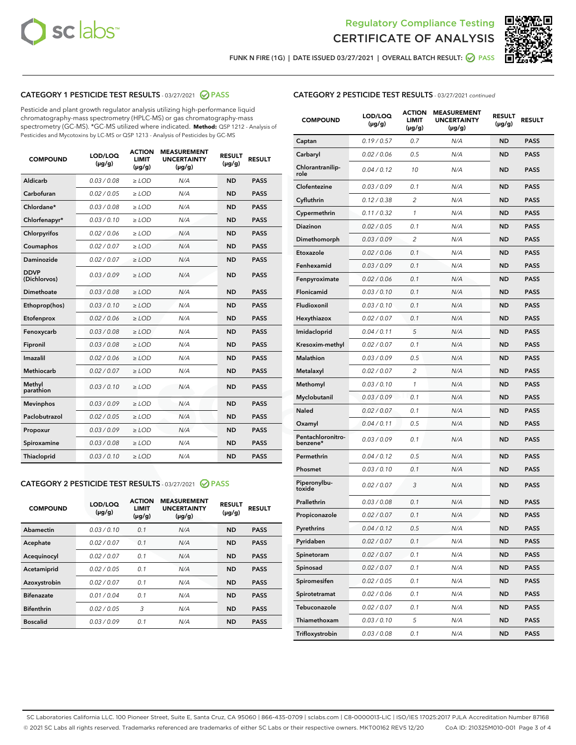



FUNK N FIRE (1G) | DATE ISSUED 03/27/2021 | OVERALL BATCH RESULT:  $\bigcirc$  PASS

## CATEGORY 1 PESTICIDE TEST RESULTS - 03/27/2021 2 PASS

Pesticide and plant growth regulator analysis utilizing high-performance liquid chromatography-mass spectrometry (HPLC-MS) or gas chromatography-mass spectrometry (GC-MS). \*GC-MS utilized where indicated. **Method:** QSP 1212 - Analysis of Pesticides and Mycotoxins by LC-MS or QSP 1213 - Analysis of Pesticides by GC-MS

| <b>COMPOUND</b>             | LOD/LOQ<br>$(\mu g/g)$ | <b>ACTION</b><br><b>LIMIT</b><br>$(\mu q/q)$ | <b>MEASUREMENT</b><br><b>UNCERTAINTY</b><br>$(\mu g/g)$ | <b>RESULT</b><br>$(\mu g/g)$ | <b>RESULT</b> |
|-----------------------------|------------------------|----------------------------------------------|---------------------------------------------------------|------------------------------|---------------|
| Aldicarb                    | 0.03 / 0.08            | $\ge$ LOD                                    | N/A                                                     | <b>ND</b>                    | <b>PASS</b>   |
| Carbofuran                  | 0.02/0.05              | $>$ LOD                                      | N/A                                                     | <b>ND</b>                    | <b>PASS</b>   |
| Chlordane*                  | 0.03 / 0.08            | $\ge$ LOD                                    | N/A                                                     | <b>ND</b>                    | <b>PASS</b>   |
| Chlorfenapyr*               | 0.03/0.10              | $\ge$ LOD                                    | N/A                                                     | <b>ND</b>                    | <b>PASS</b>   |
| Chlorpyrifos                | 0.02 / 0.06            | $\ge$ LOD                                    | N/A                                                     | <b>ND</b>                    | <b>PASS</b>   |
| Coumaphos                   | 0.02 / 0.07            | $>$ LOD                                      | N/A                                                     | <b>ND</b>                    | <b>PASS</b>   |
| <b>Daminozide</b>           | 0.02 / 0.07            | $\ge$ LOD                                    | N/A                                                     | <b>ND</b>                    | <b>PASS</b>   |
| <b>DDVP</b><br>(Dichlorvos) | 0.03/0.09              | $\ge$ LOD                                    | N/A                                                     | <b>ND</b>                    | <b>PASS</b>   |
| <b>Dimethoate</b>           | 0.03 / 0.08            | $\ge$ LOD                                    | N/A                                                     | <b>ND</b>                    | <b>PASS</b>   |
| Ethoprop(hos)               | 0.03/0.10              | $\ge$ LOD                                    | N/A                                                     | <b>ND</b>                    | <b>PASS</b>   |
| Etofenprox                  | 0.02 / 0.06            | $\ge$ LOD                                    | N/A                                                     | <b>ND</b>                    | <b>PASS</b>   |
| Fenoxycarb                  | 0.03 / 0.08            | $\ge$ LOD                                    | N/A                                                     | <b>ND</b>                    | <b>PASS</b>   |
| Fipronil                    | 0.03/0.08              | $>$ LOD                                      | N/A                                                     | <b>ND</b>                    | <b>PASS</b>   |
| Imazalil                    | 0.02 / 0.06            | $\ge$ LOD                                    | N/A                                                     | <b>ND</b>                    | <b>PASS</b>   |
| Methiocarb                  | 0.02 / 0.07            | $\ge$ LOD                                    | N/A                                                     | <b>ND</b>                    | <b>PASS</b>   |
| Methyl<br>parathion         | 0.03/0.10              | $>$ LOD                                      | N/A                                                     | <b>ND</b>                    | <b>PASS</b>   |
| <b>Mevinphos</b>            | 0.03/0.09              | $>$ LOD                                      | N/A                                                     | <b>ND</b>                    | <b>PASS</b>   |
| Paclobutrazol               | 0.02 / 0.05            | $\ge$ LOD                                    | N/A                                                     | <b>ND</b>                    | <b>PASS</b>   |
| Propoxur                    | 0.03/0.09              | $\ge$ LOD                                    | N/A                                                     | <b>ND</b>                    | <b>PASS</b>   |
| Spiroxamine                 | 0.03 / 0.08            | $\ge$ LOD                                    | N/A                                                     | <b>ND</b>                    | <b>PASS</b>   |
| <b>Thiacloprid</b>          | 0.03/0.10              | $\ge$ LOD                                    | N/A                                                     | <b>ND</b>                    | <b>PASS</b>   |

#### CATEGORY 2 PESTICIDE TEST RESULTS - 03/27/2021 @ PASS

| <b>COMPOUND</b>   | LOD/LOQ<br>$(\mu g/g)$ | <b>ACTION</b><br><b>LIMIT</b><br>$(\mu g/g)$ | <b>MEASUREMENT</b><br><b>UNCERTAINTY</b><br>$(\mu g/g)$ | <b>RESULT</b><br>$(\mu g/g)$ | <b>RESULT</b> |
|-------------------|------------------------|----------------------------------------------|---------------------------------------------------------|------------------------------|---------------|
| Abamectin         | 0.03/0.10              | 0.1                                          | N/A                                                     | <b>ND</b>                    | <b>PASS</b>   |
| Acephate          | 0.02/0.07              | 0.1                                          | N/A                                                     | <b>ND</b>                    | <b>PASS</b>   |
| Acequinocyl       | 0.02/0.07              | 0.1                                          | N/A                                                     | <b>ND</b>                    | <b>PASS</b>   |
| Acetamiprid       | 0.02/0.05              | 0.1                                          | N/A                                                     | <b>ND</b>                    | <b>PASS</b>   |
| Azoxystrobin      | 0.02/0.07              | 0.1                                          | N/A                                                     | <b>ND</b>                    | <b>PASS</b>   |
| <b>Bifenazate</b> | 0.01/0.04              | 0.1                                          | N/A                                                     | <b>ND</b>                    | <b>PASS</b>   |
| <b>Bifenthrin</b> | 0.02/0.05              | 3                                            | N/A                                                     | <b>ND</b>                    | <b>PASS</b>   |
| <b>Boscalid</b>   | 0.03/0.09              | 0.1                                          | N/A                                                     | <b>ND</b>                    | <b>PASS</b>   |

## CATEGORY 2 PESTICIDE TEST RESULTS - 03/27/2021 continued

| <b>COMPOUND</b>               | LOD/LOQ<br>(µg/g) | <b>ACTION</b><br>LIMIT<br>$(\mu g/g)$ | <b>MEASUREMENT</b><br><b>UNCERTAINTY</b><br>$(\mu g/g)$ | <b>RESULT</b><br>(µg/g) | <b>RESULT</b> |
|-------------------------------|-------------------|---------------------------------------|---------------------------------------------------------|-------------------------|---------------|
| Captan                        | 0.19/0.57         | 0.7                                   | N/A                                                     | <b>ND</b>               | <b>PASS</b>   |
| Carbaryl                      | 0.02 / 0.06       | 0.5                                   | N/A                                                     | <b>ND</b>               | <b>PASS</b>   |
| Chlorantranilip-<br>role      | 0.04 / 0.12       | 10                                    | N/A                                                     | <b>ND</b>               | <b>PASS</b>   |
| Clofentezine                  | 0.03 / 0.09       | 0.1                                   | N/A                                                     | <b>ND</b>               | <b>PASS</b>   |
| Cyfluthrin                    | 0.12 / 0.38       | $\overline{2}$                        | N/A                                                     | <b>ND</b>               | <b>PASS</b>   |
| Cypermethrin                  | 0.11 / 0.32       | 1                                     | N/A                                                     | <b>ND</b>               | <b>PASS</b>   |
| <b>Diazinon</b>               | 0.02 / 0.05       | 0.1                                   | N/A                                                     | <b>ND</b>               | <b>PASS</b>   |
| Dimethomorph                  | 0.03 / 0.09       | 2                                     | N/A                                                     | <b>ND</b>               | <b>PASS</b>   |
| Etoxazole                     | 0.02 / 0.06       | 0.1                                   | N/A                                                     | <b>ND</b>               | <b>PASS</b>   |
| Fenhexamid                    | 0.03 / 0.09       | 0.1                                   | N/A                                                     | <b>ND</b>               | <b>PASS</b>   |
| Fenpyroximate                 | 0.02 / 0.06       | 0.1                                   | N/A                                                     | <b>ND</b>               | <b>PASS</b>   |
| Flonicamid                    | 0.03 / 0.10       | 0.1                                   | N/A                                                     | <b>ND</b>               | <b>PASS</b>   |
| Fludioxonil                   | 0.03 / 0.10       | 0.1                                   | N/A                                                     | <b>ND</b>               | <b>PASS</b>   |
| Hexythiazox                   | 0.02 / 0.07       | 0.1                                   | N/A                                                     | <b>ND</b>               | <b>PASS</b>   |
| Imidacloprid                  | 0.04 / 0.11       | 5                                     | N/A                                                     | <b>ND</b>               | <b>PASS</b>   |
| Kresoxim-methyl               | 0.02 / 0.07       | 0.1                                   | N/A                                                     | <b>ND</b>               | <b>PASS</b>   |
| Malathion                     | 0.03 / 0.09       | 0.5                                   | N/A                                                     | <b>ND</b>               | <b>PASS</b>   |
| Metalaxyl                     | 0.02 / 0.07       | 2                                     | N/A                                                     | <b>ND</b>               | <b>PASS</b>   |
| Methomyl                      | 0.03 / 0.10       | 1                                     | N/A                                                     | <b>ND</b>               | <b>PASS</b>   |
| Myclobutanil                  | 0.03 / 0.09       | 0.1                                   | N/A                                                     | <b>ND</b>               | <b>PASS</b>   |
| Naled                         | 0.02 / 0.07       | 0.1                                   | N/A                                                     | <b>ND</b>               | <b>PASS</b>   |
| Oxamyl                        | 0.04 / 0.11       | 0.5                                   | N/A                                                     | <b>ND</b>               | <b>PASS</b>   |
| Pentachloronitro-<br>benzene* | 0.03 / 0.09       | 0.1                                   | N/A                                                     | <b>ND</b>               | <b>PASS</b>   |
| Permethrin                    | 0.04 / 0.12       | 0.5                                   | N/A                                                     | <b>ND</b>               | <b>PASS</b>   |
| Phosmet                       | 0.03/0.10         | 0.1                                   | N/A                                                     | <b>ND</b>               | <b>PASS</b>   |
| Piperonylbu-<br>toxide        | 0.02 / 0.07       | 3                                     | N/A                                                     | <b>ND</b>               | <b>PASS</b>   |
| Prallethrin                   | 0.03 / 0.08       | 0.1                                   | N/A                                                     | <b>ND</b>               | <b>PASS</b>   |
| Propiconazole                 | 0.02 / 0.07       | 0.1                                   | N/A                                                     | <b>ND</b>               | <b>PASS</b>   |
| Pyrethrins                    | 0.04 / 0.12       | 0.5                                   | N/A                                                     | ND                      | PASS          |
| Pyridaben                     | 0.02 / 0.07       | 0.1                                   | N/A                                                     | <b>ND</b>               | <b>PASS</b>   |
| Spinetoram                    | 0.02 / 0.07       | 0.1                                   | N/A                                                     | <b>ND</b>               | <b>PASS</b>   |
| Spinosad                      | 0.02 / 0.07       | 0.1                                   | N/A                                                     | <b>ND</b>               | <b>PASS</b>   |
| Spiromesifen                  | 0.02 / 0.05       | 0.1                                   | N/A                                                     | <b>ND</b>               | <b>PASS</b>   |
| Spirotetramat                 | 0.02 / 0.06       | 0.1                                   | N/A                                                     | <b>ND</b>               | <b>PASS</b>   |
| Tebuconazole                  | 0.02 / 0.07       | 0.1                                   | N/A                                                     | <b>ND</b>               | <b>PASS</b>   |
| Thiamethoxam                  | 0.03 / 0.10       | 5                                     | N/A                                                     | <b>ND</b>               | <b>PASS</b>   |
| Trifloxystrobin               | 0.03 / 0.08       | 0.1                                   | N/A                                                     | <b>ND</b>               | <b>PASS</b>   |